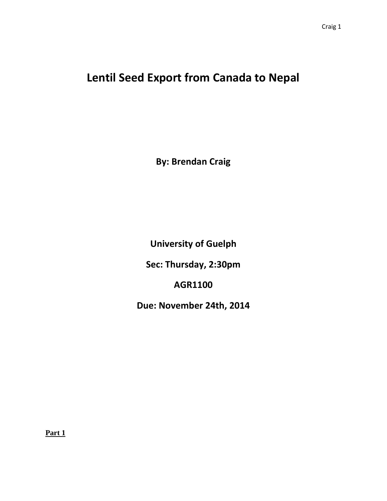## **Lentil Seed Export from Canada to Nepal**

**By: Brendan Craig**

**University of Guelph**

**Sec: Thursday, 2:30pm**

**AGR1100**

**Due: November 24th, 2014**

**Part 1**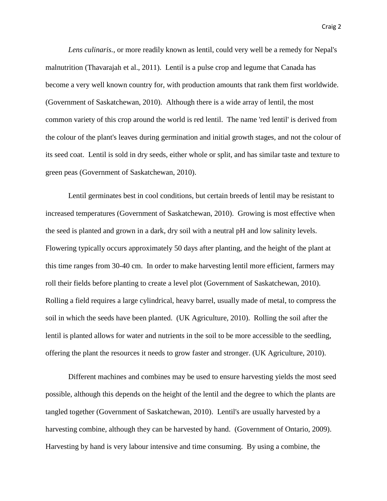*Lens culinaris.,* or more readily known as lentil, could very well be a remedy for Nepal's malnutrition (Thavarajah et al., 2011). Lentil is a pulse crop and legume that Canada has become a very well known country for, with production amounts that rank them first worldwide. (Government of Saskatchewan, 2010). Although there is a wide array of lentil, the most common variety of this crop around the world is red lentil. The name 'red lentil' is derived from the colour of the plant's leaves during germination and initial growth stages, and not the colour of its seed coat. Lentil is sold in dry seeds, either whole or split, and has similar taste and texture to green peas (Government of Saskatchewan, 2010).

Lentil germinates best in cool conditions, but certain breeds of lentil may be resistant to increased temperatures (Government of Saskatchewan, 2010). Growing is most effective when the seed is planted and grown in a dark, dry soil with a neutral pH and low salinity levels. Flowering typically occurs approximately 50 days after planting, and the height of the plant at this time ranges from 30-40 cm. In order to make harvesting lentil more efficient, farmers may roll their fields before planting to create a level plot (Government of Saskatchewan, 2010). Rolling a field requires a large cylindrical, heavy barrel, usually made of metal, to compress the soil in which the seeds have been planted. (UK Agriculture, 2010). Rolling the soil after the lentil is planted allows for water and nutrients in the soil to be more accessible to the seedling, offering the plant the resources it needs to grow faster and stronger. (UK Agriculture, 2010).

Different machines and combines may be used to ensure harvesting yields the most seed possible, although this depends on the height of the lentil and the degree to which the plants are tangled together (Government of Saskatchewan, 2010). Lentil's are usually harvested by a harvesting combine, although they can be harvested by hand. (Government of Ontario, 2009). Harvesting by hand is very labour intensive and time consuming. By using a combine, the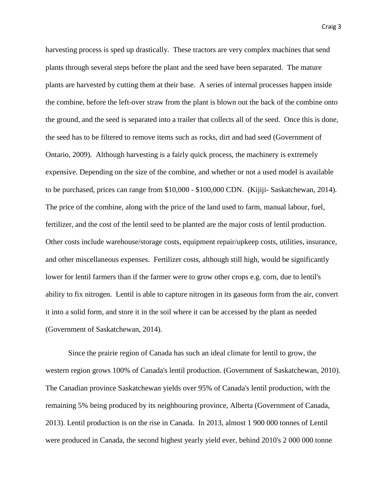harvesting process is sped up drastically. These tractors are very complex machines that send plants through several steps before the plant and the seed have been separated. The mature plants are harvested by cutting them at their base. A series of internal processes happen inside the combine, before the left-over straw from the plant is blown out the back of the combine onto the ground, and the seed is separated into a trailer that collects all of the seed. Once this is done, the seed has to be filtered to remove items such as rocks, dirt and bad seed (Government of Ontario, 2009). Although harvesting is a fairly quick process, the machinery is extremely expensive. Depending on the size of the combine, and whether or not a used model is available to be purchased, prices can range from \$10,000 - \$100,000 CDN. (Kijiji- Saskatchewan, 2014). The price of the combine, along with the price of the land used to farm, manual labour, fuel, fertilizer, and the cost of the lentil seed to be planted are the major costs of lentil production. Other costs include warehouse/storage costs, equipment repair/upkeep costs, utilities, insurance, and other miscellaneous expenses. Fertilizer costs, although still high, would be significantly lower for lentil farmers than if the farmer were to grow other crops e.g. corn, due to lentil's ability to fix nitrogen. Lentil is able to capture nitrogen in its gaseous form from the air, convert it into a solid form, and store it in the soil where it can be accessed by the plant as needed (Government of Saskatchewan, 2014).

Since the prairie region of Canada has such an ideal climate for lentil to grow, the western region grows 100% of Canada's lentil production. (Government of Saskatchewan, 2010). The Canadian province Saskatchewan yields over 95% of Canada's lentil production, with the remaining 5% being produced by its neighbouring province, Alberta (Government of Canada, 2013). Lentil production is on the rise in Canada. In 2013, almost 1 900 000 tonnes of Lentil were produced in Canada, the second highest yearly yield ever, behind 2010's 2 000 000 tonne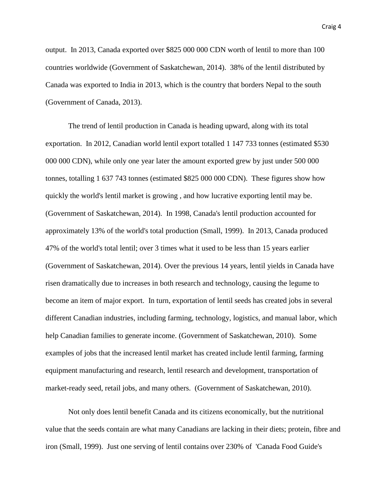output. In 2013, Canada exported over \$825 000 000 CDN worth of lentil to more than 100 countries worldwide (Government of Saskatchewan, 2014). 38% of the lentil distributed by Canada was exported to India in 2013, which is the country that borders Nepal to the south (Government of Canada, 2013).

The trend of lentil production in Canada is heading upward, along with its total exportation. In 2012, Canadian world lentil export totalled 1 147 733 tonnes (estimated \$530 000 000 CDN), while only one year later the amount exported grew by just under 500 000 tonnes, totalling 1 637 743 tonnes (estimated \$825 000 000 CDN). These figures show how quickly the world's lentil market is growing , and how lucrative exporting lentil may be. (Government of Saskatchewan, 2014). In 1998, Canada's lentil production accounted for approximately 13% of the world's total production (Small, 1999). In 2013, Canada produced 47% of the world's total lentil; over 3 times what it used to be less than 15 years earlier (Government of Saskatchewan, 2014). Over the previous 14 years, lentil yields in Canada have risen dramatically due to increases in both research and technology, causing the legume to become an item of major export. In turn, exportation of lentil seeds has created jobs in several different Canadian industries, including farming, technology, logistics, and manual labor, which help Canadian families to generate income. (Government of Saskatchewan, 2010). Some examples of jobs that the increased lentil market has created include lentil farming, farming equipment manufacturing and research, lentil research and development, transportation of market-ready seed, retail jobs, and many others. (Government of Saskatchewan, 2010).

Not only does lentil benefit Canada and its citizens economically, but the nutritional value that the seeds contain are what many Canadians are lacking in their diets; protein, fibre and iron (Small, 1999). Just one serving of lentil contains over 230% of 'Canada Food Guide's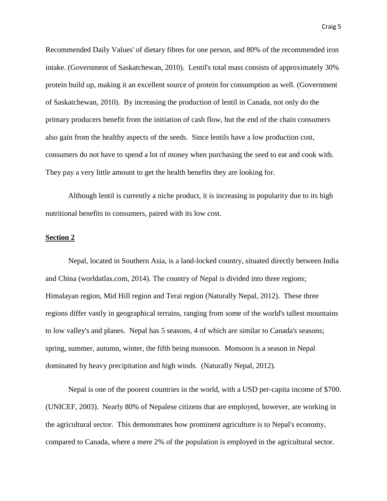Recommended Daily Values' of dietary fibres for one person, and 80% of the recommended iron intake. (Government of Saskatchewan, 2010). Lentil's total mass consists of approximately 30% protein build up, making it an excellent source of protein for consumption as well. (Government of Saskatchewan, 2010). By increasing the production of lentil in Canada, not only do the primary producers benefit from the initiation of cash flow, but the end of the chain consumers also gain from the healthy aspects of the seeds. Since lentils have a low production cost, consumers do not have to spend a lot of money when purchasing the seed to eat and cook with. They pay a very little amount to get the health benefits they are looking for.

Although lentil is currently a niche product, it is increasing in popularity due to its high nutritional benefits to consumers, paired with its low cost.

## **Section 2**

Nepal, located in Southern Asia, is a land-locked country, situated directly between India and China (worldatlas.com, 2014). The country of Nepal is divided into three regions; Himalayan region, Mid Hill region and Terai region (Naturally Nepal, 2012). These three regions differ vastly in geographical terrains, ranging from some of the world's tallest mountains to low valley's and planes. Nepal has 5 seasons, 4 of which are similar to Canada's seasons; spring, summer, autumn, winter, the fifth being monsoon. Monsoon is a season in Nepal dominated by heavy precipitation and high winds. (Naturally Nepal, 2012).

Nepal is one of the poorest countries in the world, with a USD per-capita income of \$700. (UNICEF, 2003). Nearly 80% of Nepalese citizens that are employed, however, are working in the agricultural sector. This demonstrates how prominent agriculture is to Nepal's economy, compared to Canada, where a mere 2% of the population is employed in the agricultural sector.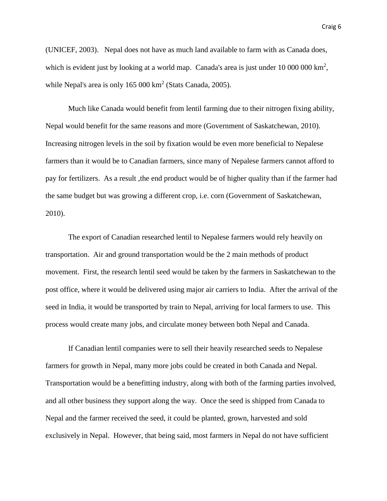(UNICEF, 2003). Nepal does not have as much land available to farm with as Canada does, which is evident just by looking at a world map. Canada's area is just under  $10\,000\,000\,\mathrm{km}^2$ , while Nepal's area is only  $165000 \text{ km}^2$  (Stats Canada, 2005).

Much like Canada would benefit from lentil farming due to their nitrogen fixing ability, Nepal would benefit for the same reasons and more (Government of Saskatchewan, 2010). Increasing nitrogen levels in the soil by fixation would be even more beneficial to Nepalese farmers than it would be to Canadian farmers, since many of Nepalese farmers cannot afford to pay for fertilizers. As a result ,the end product would be of higher quality than if the farmer had the same budget but was growing a different crop, i.e. corn (Government of Saskatchewan, 2010).

The export of Canadian researched lentil to Nepalese farmers would rely heavily on transportation. Air and ground transportation would be the 2 main methods of product movement. First, the research lentil seed would be taken by the farmers in Saskatchewan to the post office, where it would be delivered using major air carriers to India. After the arrival of the seed in India, it would be transported by train to Nepal, arriving for local farmers to use. This process would create many jobs, and circulate money between both Nepal and Canada.

If Canadian lentil companies were to sell their heavily researched seeds to Nepalese farmers for growth in Nepal, many more jobs could be created in both Canada and Nepal. Transportation would be a benefitting industry, along with both of the farming parties involved, and all other business they support along the way. Once the seed is shipped from Canada to Nepal and the farmer received the seed, it could be planted, grown, harvested and sold exclusively in Nepal. However, that being said, most farmers in Nepal do not have sufficient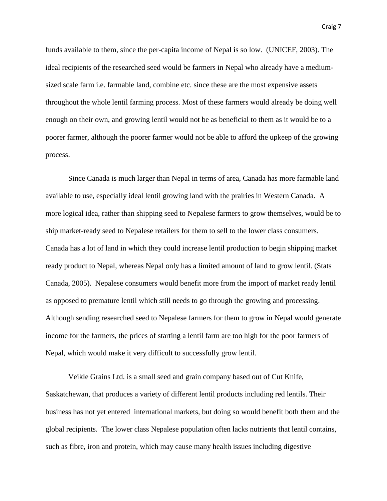Craig 7

funds available to them, since the per-capita income of Nepal is so low. (UNICEF, 2003). The ideal recipients of the researched seed would be farmers in Nepal who already have a mediumsized scale farm i.e. farmable land, combine etc. since these are the most expensive assets throughout the whole lentil farming process. Most of these farmers would already be doing well enough on their own, and growing lentil would not be as beneficial to them as it would be to a poorer farmer, although the poorer farmer would not be able to afford the upkeep of the growing process.

Since Canada is much larger than Nepal in terms of area, Canada has more farmable land available to use, especially ideal lentil growing land with the prairies in Western Canada. A more logical idea, rather than shipping seed to Nepalese farmers to grow themselves, would be to ship market-ready seed to Nepalese retailers for them to sell to the lower class consumers. Canada has a lot of land in which they could increase lentil production to begin shipping market ready product to Nepal, whereas Nepal only has a limited amount of land to grow lentil. (Stats Canada, 2005). Nepalese consumers would benefit more from the import of market ready lentil as opposed to premature lentil which still needs to go through the growing and processing. Although sending researched seed to Nepalese farmers for them to grow in Nepal would generate income for the farmers, the prices of starting a lentil farm are too high for the poor farmers of Nepal, which would make it very difficult to successfully grow lentil.

Veikle Grains Ltd. is a small seed and grain company based out of Cut Knife, Saskatchewan, that produces a variety of different lentil products including red lentils. Their business has not yet entered international markets, but doing so would benefit both them and the global recipients. The lower class Nepalese population often lacks nutrients that lentil contains, such as fibre, iron and protein, which may cause many health issues including digestive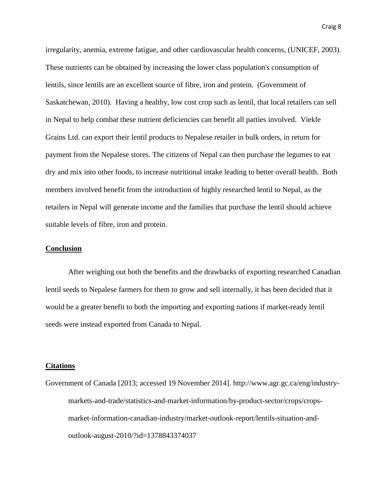irregularity, anemia, extreme fatigue, and other cardiovascular health concerns, (UNICEF, 2003). These nutrients can be obtained by increasing the lower class population's consumption of lentils, since lentils are an excellent source of fibre, iron and protein. (Government of Saskatchewan, 2010). Having a healthy, low cost crop such as lentil, that local retailers can sell in Nepal to help combat these nutrient deficiencies can benefit all parties involved. Viekle Grains Ltd. can export their lentil products to Nepalese retailer in bulk orders, in return for payment from the Nepalese stores. The citizens of Nepal can then purchase the legumes to eat dry and mix into other foods, to increase nutritional intake leading to better overall health. Both members involved benefit from the introduction of highly researched lentil to Nepal, as the retailers in Nepal will generate income and the families that purchase the lentil should achieve suitable levels of fibre, iron and protein.

## **Conclusion**

After weighing out both the benefits and the drawbacks of exporting researched Canadian lentil seeds to Nepalese farmers for them to grow and sell internally, it has been decided that it would be a greater benefit to both the importing and exporting nations if market-ready lentil seeds were instead exported from Canada to Nepal.

## **Citations**

Government of Canada [2013; accessed 19 November 2014]. http://www.agr.gc.ca/eng/industrymarkets-and-trade/statistics-and-market-information/by-product-sector/crops/cropsmarket-information-canadian-industry/market-outlook-report/lentils-situation-andoutlook-august-2010/?id=1378843374037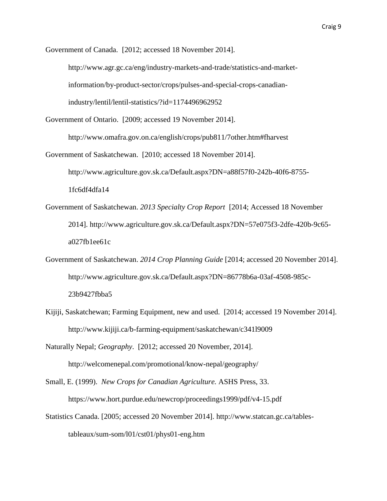Government of Canada. [2012; accessed 18 November 2014].

http://www.agr.gc.ca/eng/industry-markets-and-trade/statistics-and-market-

information/by-product-sector/crops/pulses-and-special-crops-canadian-

industry/lentil/lentil-statistics/?id=1174496962952

Government of Ontario. [2009; accessed 19 November 2014].

http://www.omafra.gov.on.ca/english/crops/pub811/7other.htm#fharvest

Government of Saskatchewan. [2010; accessed 18 November 2014].

http://www.agriculture.gov.sk.ca/Default.aspx?DN=a88f57f0-242b-40f6-8755- 1fc6df4dfa14

- Government of Saskatchewan. *2013 Specialty Crop Report* [2014; Accessed 18 November 2014]. http://www.agriculture.gov.sk.ca/Default.aspx?DN=57e075f3-2dfe-420b-9c65 a027fb1ee61c
- Government of Saskatchewan. *2014 Crop Planning Guide* [2014; accessed 20 November 2014]. http://www.agriculture.gov.sk.ca/Default.aspx?DN=86778b6a-03af-4508-985c-23b9427fbba5
- Kijiji, Saskatchewan; Farming Equipment, new and used. [2014; accessed 19 November 2014]. http://www.kijiji.ca/b-farming-equipment/saskatchewan/c341l9009

Naturally Nepal; *Geography*. [2012; accessed 20 November, 2014]. http://welcomenepal.com/promotional/know-nepal/geography/

Small, E. (1999). *New Crops for Canadian Agriculture.* ASHS Press, 33. https://www.hort.purdue.edu/newcrop/proceedings1999/pdf/v4-15.pdf

Statistics Canada. [2005; accessed 20 November 2014]. http://www.statcan.gc.ca/tablestableaux/sum-som/l01/cst01/phys01-eng.htm